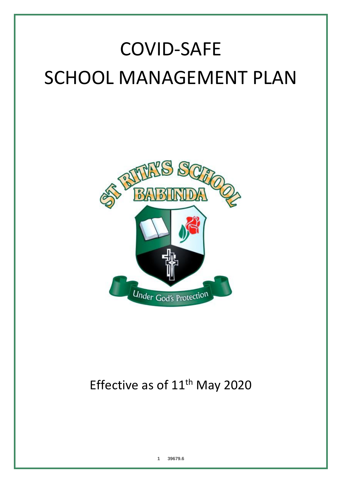# COVID-SAFE SCHOOL MANAGEMENT PLAN



# Effective as of 11<sup>th</sup> May 2020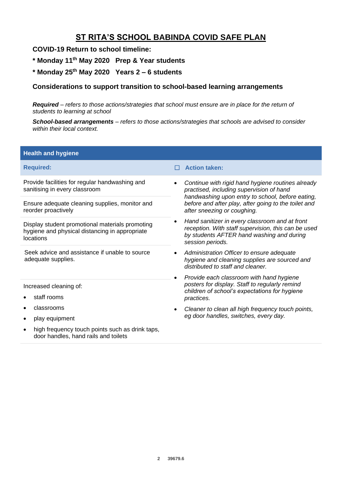# **ST RITA'S SCHOOL BABINDA COVID SAFE PLAN**

# **COVID-19 Return to school timeline:**

- **\* Monday 11th May 2020 Prep & Year students**
- **\* Monday 25th May 2020 Years 2 – 6 students**

# **Considerations to support transition to school-based learning arrangements**

*Required – refers to those actions/strategies that school must ensure are in place for the return of students to learning at school*

*School-based arrangements – refers to those actions/strategies that schools are advised to consider within their local context.*

| <b>Health and hygiene</b>                                                                                      |                                                                                                                                                                        |
|----------------------------------------------------------------------------------------------------------------|------------------------------------------------------------------------------------------------------------------------------------------------------------------------|
| <b>Required:</b>                                                                                               | <b>Action taken:</b>                                                                                                                                                   |
| Provide facilities for regular handwashing and<br>sanitising in every classroom                                | Continue with rigid hand hygiene routines already<br>practised, including supervision of hand                                                                          |
| Ensure adequate cleaning supplies, monitor and<br>reorder proactively                                          | handwashing upon entry to school, before eating,<br>before and after play, after going to the toilet and<br>after sneezing or coughing.                                |
| Display student promotional materials promoting<br>hygiene and physical distancing in appropriate<br>locations | Hand sanitizer in every classroom and at front<br>reception. With staff supervision, this can be used<br>by students AFTER hand washing and during<br>session periods. |
| Seek advice and assistance if unable to source<br>adequate supplies.                                           | Administration Officer to ensure adequate<br>hygiene and cleaning supplies are sourced and<br>distributed to staff and cleaner.                                        |
| Increased cleaning of:                                                                                         | Provide each classroom with hand hygiene<br>٠<br>posters for display. Staff to regularly remind<br>children of school's expectations for hygiene                       |
| staff rooms                                                                                                    | practices.                                                                                                                                                             |
| classrooms                                                                                                     | Cleaner to clean all high frequency touch points,                                                                                                                      |
| play equipment                                                                                                 | eg door handles, switches, every day.                                                                                                                                  |
| high frequency touch points such as drink taps,<br>door handles, hand rails and toilets                        |                                                                                                                                                                        |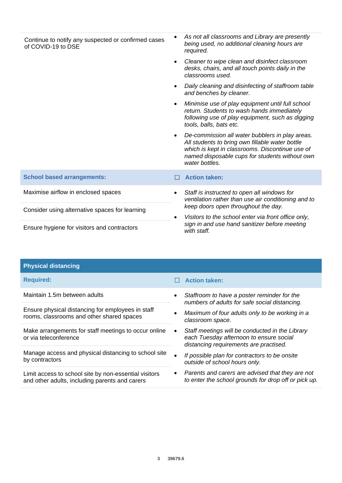| Continue to notify any suspected or confirmed cases<br>of COVID-19 to DSE | As not all classrooms and Library are presently<br>$\bullet$<br>being used, no additional cleaning hours are<br>required.                                                                                                              |
|---------------------------------------------------------------------------|----------------------------------------------------------------------------------------------------------------------------------------------------------------------------------------------------------------------------------------|
|                                                                           | Cleaner to wipe clean and disinfect classroom<br>$\bullet$<br>desks, chairs, and all touch points daily in the<br>classrooms used.                                                                                                     |
|                                                                           | Daily cleaning and disinfecting of staffroom table<br>and benches by cleaner.                                                                                                                                                          |
|                                                                           | Minimise use of play equipment until full school<br>$\bullet$<br>return. Students to wash hands immediately<br>following use of play equipment, such as digging<br>tools, balls, bats etc.                                             |
|                                                                           | De-commission all water bubblers in play areas.<br>$\bullet$<br>All students to bring own fillable water bottle<br>which is kept in classrooms. Discontinue use of<br>named disposable cups for students without own<br>water bottles. |
| <b>School based arrangements:</b>                                         | <b>Action taken:</b>                                                                                                                                                                                                                   |
| Maximise airflow in enclosed spaces                                       | Staff is instructed to open all windows for<br>ventilation rather than use air conditioning and to                                                                                                                                     |
| Consider using alternative spaces for learning                            | keep doors open throughout the day.                                                                                                                                                                                                    |
|                                                                           | Visitors to the school enter via front office only,<br>$\bullet$<br>sign in and use hand sanitizer before meeting<br>with staff.                                                                                                       |
| Ensure hygiene for visitors and contractors                               |                                                                                                                                                                                                                                        |

| <b>Physical distancing</b>                                                                              |                                                                                                                                           |
|---------------------------------------------------------------------------------------------------------|-------------------------------------------------------------------------------------------------------------------------------------------|
| <b>Required:</b>                                                                                        | <b>Action taken:</b>                                                                                                                      |
| Maintain 1.5m between adults                                                                            | Staffroom to have a poster reminder for the<br>$\bullet$<br>numbers of adults for safe social distancing.                                 |
| Ensure physical distancing for employees in staff<br>rooms, classrooms and other shared spaces          | Maximum of four adults only to be working in a<br>classroom space.                                                                        |
| Make arrangements for staff meetings to occur online<br>or via teleconference                           | Staff meetings will be conducted in the Library<br>٠<br>each Tuesday afternoon to ensure social<br>distancing requirements are practised. |
| Manage access and physical distancing to school site<br>by contractors                                  | If possible plan for contractors to be onsite<br>$\bullet$<br>outside of school hours only.                                               |
| Limit access to school site by non-essential visitors<br>and other adults, including parents and carers | Parents and carers are advised that they are not<br>$\bullet$<br>to enter the school grounds for drop off or pick up.                     |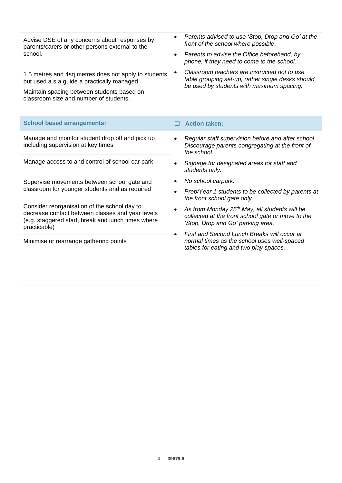Advise DSE of any concerns about responses by parents/carers or other persons external to the school.

1.5 metres and 4sq metres does not apply to students but used a s a guide a practically managed

Maintain spacing between students based on classroom size and number of students.

- *Parents advised to use 'Stop, Drop and Go' at the front of the school where possible*.
- *Parents to advise the Office beforehand, by phone, if they need to come to the school*.
- *Classroom teachers are instructed not to use table grouping set-up, rather single desks should be used by students with maximum spacing.*

| <b>School based arrangements:</b>                                                                                                                                      | <b>Action taken:</b>                                                                                                                                   |
|------------------------------------------------------------------------------------------------------------------------------------------------------------------------|--------------------------------------------------------------------------------------------------------------------------------------------------------|
| Manage and monitor student drop off and pick up<br>including supervision at key times                                                                                  | Regular staff supervision before and after school.<br>$\bullet$<br>Discourage parents congregating at the front of<br>the school.                      |
| Manage access to and control of school car park                                                                                                                        | Signage for designated areas for staff and<br>students only.                                                                                           |
| Supervise movements between school gate and<br>classroom for younger students and as required                                                                          | No school carpark.                                                                                                                                     |
|                                                                                                                                                                        | Prep/Year 1 students to be collected by parents at<br>the front school gate only.                                                                      |
| Consider reorganisation of the school day to<br>decrease contact between classes and year levels<br>(e.g. staggered start, break and lunch times where<br>practicable) | As from Monday $25th$ May, all students will be<br>$\bullet$<br>collected at the front school gate or move to the<br>'Stop, Drop and Go' parking area. |
|                                                                                                                                                                        | First and Second Lunch Breaks will occur at<br>$\bullet$                                                                                               |
| Minimise or rearrange gathering points                                                                                                                                 | normal times as the school uses well-spaced<br>tables for eating and two play spaces.                                                                  |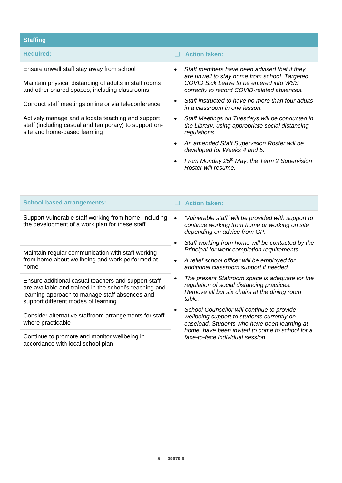# **Staffing**

Maintain physical distancing of adults in staff rooms and other shared spaces, including classrooms

Conduct staff meetings online or via teleconference

Actively manage and allocate teaching and support staff (including casual and temporary) to support onsite and home-based learning

# **Required:** ☐ **Action taken:**

- Ensure unwell staff stay away from school *Staff members have been advised that if they are unwell to stay home from school. Targeted COVID Sick Leave to be entered into WSS correctly to record COVID-related absences.*
	- *Staff instructed to have no more than four adults in a classroom in one lesson.*
	- *Staff Meetings on Tuesdays will be conducted in the Library, using appropriate social distancing regulations.*
	- *An amended Staff Supervision Roster will be developed for Weeks 4 and 5.*
	- *From Monday 25th May, the Term 2 Supervision Roster will resume.*

| <b>School based arrangements:</b>                                                                                                                                                                      | <b>Action taken:</b>                                                                                                                                                                                                            |
|--------------------------------------------------------------------------------------------------------------------------------------------------------------------------------------------------------|---------------------------------------------------------------------------------------------------------------------------------------------------------------------------------------------------------------------------------|
| Support vulnerable staff working from home, including<br>the development of a work plan for these staff                                                                                                | 'Vulnerable staff' will be provided with support to<br>continue working from home or working on site<br>depending on advice from GP.                                                                                            |
| Maintain regular communication with staff working<br>from home about wellbeing and work performed at<br>home                                                                                           | Staff working from home will be contacted by the<br>$\bullet$<br>Principal for work completion requirements.                                                                                                                    |
|                                                                                                                                                                                                        | A relief school officer will be employed for<br>additional classroom support if needed.                                                                                                                                         |
| Ensure additional casual teachers and support staff<br>are available and trained in the school's teaching and<br>learning approach to manage staff absences and<br>support different modes of learning | The present Staffroom space is adequate for the<br>regulation of social distancing practices.<br>Remove all but six chairs at the dining room<br>table.                                                                         |
| Consider alternative staffroom arrangements for staff<br>where practicable                                                                                                                             | School Counsellor will continue to provide<br>wellbeing support to students currently on<br>caseload. Students who have been learning at<br>home, have been invited to come to school for a<br>face-to-face individual session. |
| Continue to promote and monitor wellbeing in<br>accordance with local school plan                                                                                                                      |                                                                                                                                                                                                                                 |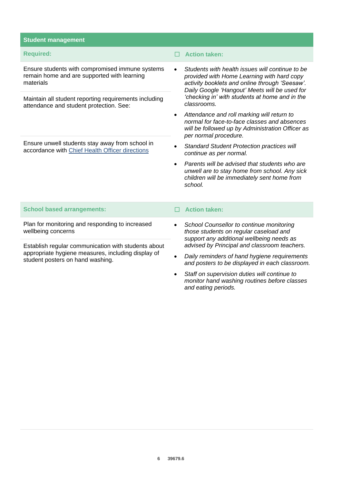| <b>Student management</b>                                                                                                                     |                                                                                                                                                                                                  |
|-----------------------------------------------------------------------------------------------------------------------------------------------|--------------------------------------------------------------------------------------------------------------------------------------------------------------------------------------------------|
| <b>Required:</b>                                                                                                                              | <b>Action taken:</b>                                                                                                                                                                             |
| Ensure students with compromised immune systems<br>remain home and are supported with learning<br>materials                                   | Students with health issues will continue to be<br>provided with Home Learning with hard copy<br>activity booklets and online through 'Seesaw'.<br>Daily Google 'Hangout' Meets will be used for |
| Maintain all student reporting requirements including<br>attendance and student protection. See:                                              | 'checking in' with students at home and in the<br>classrooms.                                                                                                                                    |
|                                                                                                                                               | Attendance and roll marking will return to<br>normal for face-to-face classes and absences<br>will be followed up by Administration Officer as<br>per normal procedure.                          |
| Ensure unwell students stay away from school in<br>accordance with Chief Health Officer directions                                            | <b>Standard Student Protection practices will</b><br>continue as per normal.                                                                                                                     |
|                                                                                                                                               | Parents will be advised that students who are<br>$\bullet$<br>unwell are to stay home from school. Any sick<br>children will be immediately sent home from<br>school.                            |
| <b>School based arrangements:</b>                                                                                                             | <b>Action taken:</b>                                                                                                                                                                             |
| Plan for monitoring and responding to increased<br>wellbeing concerns                                                                         | School Counsellor to continue monitoring<br>$\bullet$<br>those students on regular caseload and<br>support any additional wellbeing needs as                                                     |
| Establish regular communication with students about<br>appropriate hygiene measures, including display of<br>student posters on hand washing. | advised by Principal and classroom teachers.                                                                                                                                                     |
|                                                                                                                                               | Daily reminders of hand hygiene requirements<br>and posters to be displayed in each classroom.                                                                                                   |

• *Staff on supervision duties will continue to monitor hand washing routines before classes and eating periods.*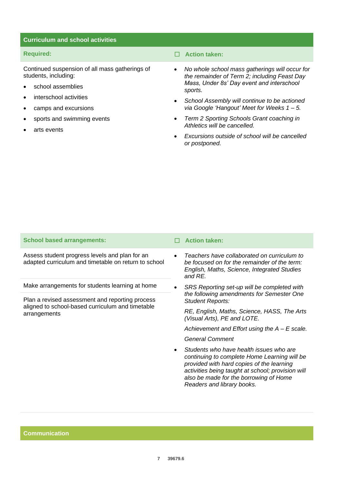# **Curriculum and school activities**

Continued suspension of all mass gatherings of students, including:

- school assemblies
- interschool activities
- camps and excursions
- sports and swimming events
- arts events

**Required:** ☐ **Action taken:**

- *No whole school mass gatherings will occur for the remainder of Term 2; including Feast Day Mass, Under 8s' Day event and interschool sports.*
- *School Assembly will continue to be actioned via Google 'Hangout' Meet for Weeks 1 – 5.*
- *Term 2 Sporting Schools Grant coaching in Athletics will be cancelled.*
- *Excursions outside of school will be cancelled or postponed.*

### **School based arrangements:** ☐ **Action taken:**

Assess student progress levels and plan for an adapted curriculum and timetable on return to school

Make arrangements for students learning at home

Plan a revised assessment and reporting process aligned to school-based curriculum and timetable arrangements

- 
- *Teachers have collaborated on curriculum to be focused on for the remainder of the term: English, Maths, Science, Integrated Studies and RE.*
- *SRS Reporting set-up will be completed with the following amendments for Semester One Student Reports:*

*RE, English, Maths, Science, HASS, The Arts (Visual Arts), PE and LOTE.*

*Achievement and Effort using the A – E scale.*

*General Comment*

• *Students who have health issues who are continuing to complete Home Learning will be provided with hard copies of the learning activities being taught at school; provision will also be made for the borrowing of Home Readers and library books.*

**Communication**